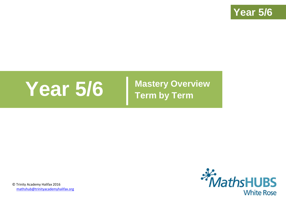

# **Year 5/6 Mastery Overview**

**Term by Term**



© Trinity Academy Halifax 2016 [mathshub@trinityacademyhalifax.org](mailto:mathshub@trinityacademyhalifax.org)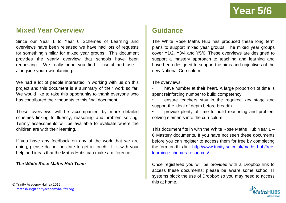### **Mixed Year Overview**

Since our Year 1 to Year 6 Schemes of Learning and overviews have been released we have had lots of requests for something similar for mixed year groups. This document provides the yearly overview that schools have been requesting. We really hope you find it useful and use it alongside your own planning.

We had a lot of people interested in working with us on this project and this document is a summary of their work so far. We would like to take this opportunity to thank everyone who has contributed their thoughts to this final document.

These overviews will be accompanied by more detailed schemes linking to fluency, reasoning and problem solving. Termly assessments will be available to evaluate where the children are with their learning.

If you have any feedback on any of the work that we are doing, please do not hesitate to get in touch. It is with your help and ideas that the Maths Hubs can make a difference.

#### *The White Rose Maths Hub Team*

**Guidance**

The White Rose Maths Hub has produced these long term plans to support mixed year groups. The mixed year groups cover Y1/2, Y3/4 and Y5/6. These overviews are designed to support a mastery approach to teaching and learning and have been designed to support the aims and objectives of the new National Curriculum.

The overviews:

have number at their heart. A large proportion of time is spent reinforcing number to build competency.

ensure teachers stay in the required key stage and support the ideal of depth before breadth.

• provide plenty of time to build reasoning and problem solving elements into the curriculum

This document fits in with the White Rose Maths Hub Year 1 – 6 Mastery documents. If you have not seen these documents before you can register to access them for free by completing the form on this link [http://www.trinitytsa.co.uk/maths-hub/free](http://www.trinitytsa.co.uk/maths-hub/free-learning-schemes-resources/)[learning-schemes-resources/](http://www.trinitytsa.co.uk/maths-hub/free-learning-schemes-resources/)

Once registered you will be provided with a Dropbox link to access these documents; please be aware some school IT systems block the use of Dropbox so you may need to access this at home.

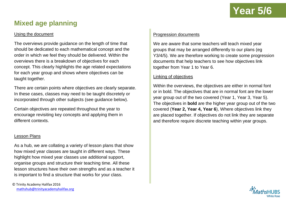## **Mixed age planning**

#### Using the document

The overviews provide guidance on the length of time that should be dedicated to each mathematical concept and the order in which we feel they should be delivered. Within the overviews there is a breakdown of objectives for each concept. This clearly highlights the age related expectations for each year group and shows where objectives can be taught together.

There are certain points where objectives are clearly separate. In these cases, classes may need to be taught discretely or incorporated through other subjects (see guidance below).

Certain objectives are repeated throughout the year to encourage revisiting key concepts and applying them in different contexts.

#### Lesson Plans

As a hub, we are collating a variety of lesson plans that show how mixed year classes are taught in different ways. These highlight how mixed year classes use additional support, organise groups and structure their teaching time. All these lesson structures have their own strengths and as a teacher it is important to find a structure that works for your class.

#### Progression documents

We are aware that some teachers will teach mixed year groups that may be arranged differently to our plans (eg Y3/4/5). We are therefore working to create some progression documents that help teachers to see how objectives link together from Year 1 to Year 6.

#### Linking of objectives

Within the overviews, the objectives are either in normal font or in bold. The objectives that are in normal font are the lower year group out of the two covered (Year 1, Year 3, Year 5). The objectives in **bold** are the higher year group out of the two covered (**Year 2, Year 4, Year 6**), Where objectives link they are placed together. If objectives do not link they are separate and therefore require discrete teaching within year groups.

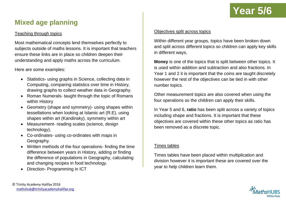

## **Mixed age planning**

#### Teaching through topics

Most mathematical concepts lend themselves perfectly to subjects outside of maths lessons. It is important that teachers ensure these links are in place so children deepen their understanding and apply maths across the curriculum.

Here are some examples:

- Statistics- using graphs in Science, collecting data in Computing, comparing statistics over time in History, drawing graphs to collect weather data in Geography.
- Roman Numerals- taught through the topic of Romans within History
- Geometry (shape and symmetry) using shapes within tessellations when looking at Islamic art (R.E), using shapes within art (Kandinsky), symmetry within art
- Measurement- reading scales (science, design technology),
- Co-ordinates- using co-ordinates with maps in Geography.
- Written methods of the four operations- finding the time difference between years in History, adding or finding the difference of populations in Geography, calculating and changing recipes in food technology.
- Direction- Programming in ICT

#### Objectives split across topics

Within different year groups, topics have been broken down and split across different topics so children can apply key skills in different ways.

**Money** is one of the topics that is split between other topics. It is used within addition and subtraction and also fractions. In Year 1 and 2 it is important that the coins are taught discretely however the rest of the objectives can be tied in with other number topics.

Other measurement topics are also covered when using the four operations so the children can apply their skills.

In Year 5 and 6, **ratio** has been split across a variety of topics including shape and fractions. It is important that these objectives are covered within these other topics as ratio has been removed as a discrete topic.

#### Times tables

Times tables have been placed within multiplication and division however it is important these are covered over the year to help children learn them.

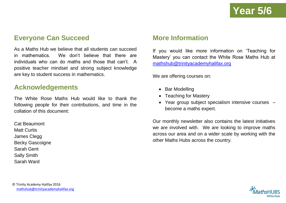## **Everyone Can Succeed**

As a Maths Hub we believe that all students can succeed in mathematics. We don't believe that there are individuals who can do maths and those that can't. A positive teacher mindset and strong subject knowledge are key to student success in mathematics.

### **Acknowledgements**

The White Rose Maths Hub would like to thank the following people for their contributions, and time in the collation of this document:

Cat Beaumont Matt Curtis James Clegg Becky Gascoigne Sarah Gent Sally Smith Sarah Ward

## **More Information**

If you would like more information on 'Teaching for Mastery' you can contact the White Rose Maths Hub at [mathshub@trinityacademyhalifax.org](mailto:mathshub@trinityacademyhalifax.org)

We are offering courses on:

- Bar Modelling
- Teaching for Mastery
- Year group subject specialism intensive courses become a maths expert.

Our monthly newsletter also contains the latest initiatives we are involved with. We are looking to improve maths across our area and on a wider scale by working with the other Maths Hubs across the country.

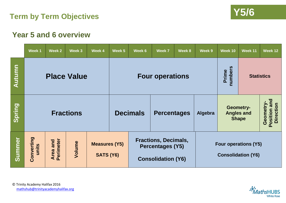



#### **Week 1 Week 2 Week 3 Week 4 Week 5 Week 6 Week 7 Week 8 Week 9 Week 10 Week 11 Week 12 Autumn numbers Prime Place Value Four operations Statistics Position and**  Position and Geometry-**Geometry-Direction Spring Geometry-Fractions Decimals Percentages Algebra Angles and Shape Converting Summer** Converting **Fractions, Decimals, Area and Perimeter Volume Measures (Y5) Four operations (Y5) units Percentages (Y5) SATS (Y6) Consolidation (Y6)Consolidation (Y6)**



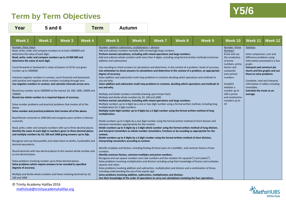## **Y5/6 Term by Term Objectives**



| Year                                                                                                                                                                                                                                               | <b>5 and 6</b>                                                                                                                                                                                                                                                                                                                                                                                                                                                                                                                                                                                                                                                                                                                                                                                                                                                                                                                                                                                                                                                                                                                                                                                                                                                                                                                                                                    |               |               | <b>Autumn</b><br><b>Term</b>                                            |                                                                                                               |                                                                                                                                                                                                                                                                                  |                                                                                                                                                                                                                                                                                                                                                                                                                                                                                                                                                                                                                                                                                                                                                                                                                                                                                                                                                                                                                                |        |                                                                                                                                                                                                                                                                                                                                                                                                                                                                                                                                                                                                                                                                                                                                                                                                                                                                                                                                                                                                                                                                                                                                                                                                                                               |                                                                                                                                                                                                                                                            |                                                                                                                                                                                                                                        |                                                                                                      |
|----------------------------------------------------------------------------------------------------------------------------------------------------------------------------------------------------------------------------------------------------|-----------------------------------------------------------------------------------------------------------------------------------------------------------------------------------------------------------------------------------------------------------------------------------------------------------------------------------------------------------------------------------------------------------------------------------------------------------------------------------------------------------------------------------------------------------------------------------------------------------------------------------------------------------------------------------------------------------------------------------------------------------------------------------------------------------------------------------------------------------------------------------------------------------------------------------------------------------------------------------------------------------------------------------------------------------------------------------------------------------------------------------------------------------------------------------------------------------------------------------------------------------------------------------------------------------------------------------------------------------------------------------|---------------|---------------|-------------------------------------------------------------------------|---------------------------------------------------------------------------------------------------------------|----------------------------------------------------------------------------------------------------------------------------------------------------------------------------------------------------------------------------------------------------------------------------------|--------------------------------------------------------------------------------------------------------------------------------------------------------------------------------------------------------------------------------------------------------------------------------------------------------------------------------------------------------------------------------------------------------------------------------------------------------------------------------------------------------------------------------------------------------------------------------------------------------------------------------------------------------------------------------------------------------------------------------------------------------------------------------------------------------------------------------------------------------------------------------------------------------------------------------------------------------------------------------------------------------------------------------|--------|-----------------------------------------------------------------------------------------------------------------------------------------------------------------------------------------------------------------------------------------------------------------------------------------------------------------------------------------------------------------------------------------------------------------------------------------------------------------------------------------------------------------------------------------------------------------------------------------------------------------------------------------------------------------------------------------------------------------------------------------------------------------------------------------------------------------------------------------------------------------------------------------------------------------------------------------------------------------------------------------------------------------------------------------------------------------------------------------------------------------------------------------------------------------------------------------------------------------------------------------------|------------------------------------------------------------------------------------------------------------------------------------------------------------------------------------------------------------------------------------------------------------|----------------------------------------------------------------------------------------------------------------------------------------------------------------------------------------------------------------------------------------|------------------------------------------------------------------------------------------------------|
| <b>Week1</b>                                                                                                                                                                                                                                       | <b>Week 2</b>                                                                                                                                                                                                                                                                                                                                                                                                                                                                                                                                                                                                                                                                                                                                                                                                                                                                                                                                                                                                                                                                                                                                                                                                                                                                                                                                                                     | <b>Week 3</b> | <b>Week 4</b> | Week 5                                                                  |                                                                                                               | Week 6                                                                                                                                                                                                                                                                           | Week 7                                                                                                                                                                                                                                                                                                                                                                                                                                                                                                                                                                                                                                                                                                                                                                                                                                                                                                                                                                                                                         | Week 8 | Week 9                                                                                                                                                                                                                                                                                                                                                                                                                                                                                                                                                                                                                                                                                                                                                                                                                                                                                                                                                                                                                                                                                                                                                                                                                                        | Week 10                                                                                                                                                                                                                                                    | Week 11                                                                                                                                                                                                                                | Week 12                                                                                              |
| Number: Place Value<br>determine the value of each digit.<br>determine the value of each digit.<br>number up to 1000000.<br>100000<br>above.<br>numerals.<br>decimal equivalents.<br>to one decimal place.<br>degrees of accuracy.<br>100 and 1000 | Read, write, order and compare numbers to at least 1000000 and<br>Read, write, order and compare numbers up to 10 000 000 and<br>Count forwards or backwards in steps of powers of 10 for any given<br>Interpret negative numbers in context, count forwards and backwards<br>with positive and negative whole numbers including through zero.<br>Use negative numbers in context, and calculate intervals across zero.<br>Round any number up to 1000000 to the nearest 10, 100, 1000, 10000 and<br>Round any whole number to a required degree of accuracy.<br>Solve number problems and practical problems that involve all of the<br>Solve number and practical problems that involve all of the above.<br>Read Roman numerals to 1000 (M) and recognise years written in Roman<br>Read, write, order and compare numbers with up to three decimal places.<br>Identify the value of each digit in numbers given to three decimal places<br>and multiply numbers by 10, 100 and 1000 giving answers up to 3dp.<br>Recognise and use thousandths and relate them to tenths, hundredths and<br>Round decimals with two decimal places to the nearest whole number and<br>Solve problems involving number up to three decimal places.<br>Solve problems which require answers to be rounded to specified<br>Multiply and divide whole numbers and those involving decimals by 10, |               |               | use and why.<br>use and why.<br>multiplication.<br>context.<br>numbers. | addition and subtraction)<br>degree of accuracy.<br>multiplication for 2 digit numbers.<br>squares and cubes. | Number- addition subtraction, multiplication + division<br>Multiply and divide whole numbers by 10, 100 and 1000.<br>interpret remainders appropriately for the context.<br>interpreting remainders according to context.<br>including understanding the use of the equals sign. | Add and subtract numbers mentally with increasingly large numbers.<br>Perform mental calculations, including with mixed operations and large numbers.<br>Multiply and divide numbers mentally drawing upon known facts.<br>Perform mental calculations, including with mixed operations and large numbers.<br>Multiply multi-digit number up to 4 digits by a 2 digit number using the formal written method of long<br>Divide numbers up to 4 digits by a 2 digit number using the formal written method of short division,<br>Identify multiples and factors, including finding all factor pairs of a number, and common factors of two<br>Identify common factors, common multiples and prime numbers.<br>Recognise and use square numbers and cube numbers and the notation for squared $\binom{2}{1}$ and cubed $\binom{3}{2}$<br>Solve problems involving addition, subtraction, multiplication and division.<br>Use their knowledge of the order of operations to carry out calculations involving the four operations. |        | Add and subtract whole numbers with more than 4 digits, including using formal written methods (columnar<br>Use rounding to check answers to calculations and determine, in the context of a problem, levels of accuracy.<br>Use estimation to check answers to calculations and determine in the context of a problem, an appropriate<br>Solve addition and subtraction multi-step problems in contexts deciding which operations and methods to<br>Solve addition and subtraction multi step problems in contexts, deciding which operations and methods to<br>Multiply numbers up to 4 digits by a one or two digit number using a formal written method, including long<br>Divide numbers up to 4 digits by a one digit number using the formal written method of short division and<br>Divide numbers up to 4 digits by a 2 digit whole number using the formal written method of long division,<br>and interpret remainders as whole number remainders, fractions or by rounding as appropriate for the<br>Solve problems involving multiplication and division including using their knowledge of factors and multiples,<br>Solve problems involving addition and subtraction, multiplication and division and a combination of these, | Number-Prime<br><b>Numbers</b><br>Know and use<br>the vocabulary<br>of prime<br>numbers, prime<br>factors and<br>composite<br>(non-prime)<br>numbers.<br>Establish<br>whether a<br>number up to<br>100 is prime<br>and recall prime<br>numbers up to<br>19 | <b>Statistics</b><br>Solve comparison, sum and<br>difference problems using<br>graph.<br>Interpret and construct pie<br>these to solve problems<br>Complete, read and interpret<br>timetables.<br>Calculate the mean as an<br>average. | information presented in a line<br>charts and line graphs and use<br>information in tables including |

© Trinity Academy Halifax 2016 [mathshub@trinityacademyhalifax.org](mailto:mathshub@trinityacademyhalifax.org)

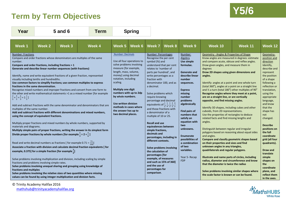## **Y5/6 Term by Term Objectives**



| Year                                                                                                                                                                                                                                                                                                                                                                                                                                                                                                                                                                                                                                                                                                                                                                                                                                | <b>5 and 6</b><br><b>Term</b> |        | <b>Spring</b>                                                                                                                                                                                                                                                                                                                                                                                                                                                                                                                                                                                                                                                                                                                                                                                                                                                                                                                                                                                                                                                                      |                                                                                                                                                                                                                                                                                                                                               |                            |                                                                                                                                                                                                                                                                                                                                                                                                                                                                                                                                                                                            |                                                                                                                                                                                                              |                                                                                                                                                                                                                                                                                                                                                                                  |                                                                                                                                                                                                                                                                                                                                                                                                                                                                                                                                                                                                                                                                                                                                                                                                                                                                                                                                                                                                                                                                                                                                                                                                                                                                                                                |         |                                                                                                                                                                                                                                                                                                                                                                                                                                                                                  |
|-------------------------------------------------------------------------------------------------------------------------------------------------------------------------------------------------------------------------------------------------------------------------------------------------------------------------------------------------------------------------------------------------------------------------------------------------------------------------------------------------------------------------------------------------------------------------------------------------------------------------------------------------------------------------------------------------------------------------------------------------------------------------------------------------------------------------------------|-------------------------------|--------|------------------------------------------------------------------------------------------------------------------------------------------------------------------------------------------------------------------------------------------------------------------------------------------------------------------------------------------------------------------------------------------------------------------------------------------------------------------------------------------------------------------------------------------------------------------------------------------------------------------------------------------------------------------------------------------------------------------------------------------------------------------------------------------------------------------------------------------------------------------------------------------------------------------------------------------------------------------------------------------------------------------------------------------------------------------------------------|-----------------------------------------------------------------------------------------------------------------------------------------------------------------------------------------------------------------------------------------------------------------------------------------------------------------------------------------------|----------------------------|--------------------------------------------------------------------------------------------------------------------------------------------------------------------------------------------------------------------------------------------------------------------------------------------------------------------------------------------------------------------------------------------------------------------------------------------------------------------------------------------------------------------------------------------------------------------------------------------|--------------------------------------------------------------------------------------------------------------------------------------------------------------------------------------------------------------|----------------------------------------------------------------------------------------------------------------------------------------------------------------------------------------------------------------------------------------------------------------------------------------------------------------------------------------------------------------------------------|----------------------------------------------------------------------------------------------------------------------------------------------------------------------------------------------------------------------------------------------------------------------------------------------------------------------------------------------------------------------------------------------------------------------------------------------------------------------------------------------------------------------------------------------------------------------------------------------------------------------------------------------------------------------------------------------------------------------------------------------------------------------------------------------------------------------------------------------------------------------------------------------------------------------------------------------------------------------------------------------------------------------------------------------------------------------------------------------------------------------------------------------------------------------------------------------------------------------------------------------------------------------------------------------------------------|---------|----------------------------------------------------------------------------------------------------------------------------------------------------------------------------------------------------------------------------------------------------------------------------------------------------------------------------------------------------------------------------------------------------------------------------------------------------------------------------------|
| <b>Week1</b>                                                                                                                                                                                                                                                                                                                                                                                                                                                                                                                                                                                                                                                                                                                                                                                                                        | <b>Week 2</b>                 | Week 3 | Week 4                                                                                                                                                                                                                                                                                                                                                                                                                                                                                                                                                                                                                                                                                                                                                                                                                                                                                                                                                                                                                                                                             | Week 5                                                                                                                                                                                                                                                                                                                                        | Week 6                     | Week 7                                                                                                                                                                                                                                                                                                                                                                                                                                                                                                                                                                                     | Week 8                                                                                                                                                                                                       | Week 9                                                                                                                                                                                                                                                                                                                                                                           | Week 10                                                                                                                                                                                                                                                                                                                                                                                                                                                                                                                                                                                                                                                                                                                                                                                                                                                                                                                                                                                                                                                                                                                                                                                                                                                                                                        | Week 11 | Week 12                                                                                                                                                                                                                                                                                                                                                                                                                                                                          |
| Number: Fractions<br>number.<br>Compare and order fractions, including fractions > 1<br>Generate and describe linear number sequences (with fractions)<br>visually including tenths and hundredths.<br>fractions in the same denomination.<br>$\frac{2}{5} + \frac{4}{5} = \frac{6}{5} = 1\frac{1}{5}$<br>multiples of the same number.<br>using the concept of equivalent fractions.<br>materials and diagrams.<br>Divide proper fractions by whole numbers [for example $\frac{1}{3} \div 2 = \frac{1}{6}$ ]<br>Read and write decimal numbers as fractions [ for example 0.71 = $\frac{71}{100}$ ]<br>example, 0.375] for a simple fraction [for example $\frac{3}{6}$ ]<br>fractions and problems involving simple rates.<br>fractions and multiples<br>values can be found by using integer multiplication and division facts. |                               |        | Compare and order fractions whose denominators are multiples of the same<br>Identify, name and write equivalent fractions of a given fraction, represented<br>Use common factors to simplify fractions; use common multiples to express<br>Recognise mixed numbers and improper fractions and convert from one form to<br>the other and write mathematical statements >1 as a mixed number [for example<br>Add and subtract fractions with the same denominator and denominators that are<br>Add and subtract fractions with different denominations and mixed numbers,<br>Multiply proper fractions and mixed numbers by whole numbers, supported by<br>Multiply simple pairs of proper fractions, writing the answer in its simplest form<br>Associate a fraction with division and calculate decimal fraction equivalents [ for<br>Solve problems involving multiplication and division, including scaling by simple<br>Solve problems involving unequal sharing and grouping using knowledge of<br>Solve problems involving the relative sizes of two quantities where missing | <b>Number: Decimals</b><br>solve problems involving<br>measure [for example,<br>length, mass, volume,<br>money] using decimal<br>notation, including<br>scaling.<br><b>Multiply one digit</b><br>numbers with up to 2dp<br>by whole numbers.<br>Use written division<br>methods in cases where<br>the answer has up to<br>two decimal places. | Use all four operations to | Number: Percentages<br>Recognise the per cent<br>symbol (%) and<br>relates to 'number of<br>parts per hundred', and<br>write percentages as a<br>fraction with<br>a decimal.<br>Solve problems which<br>require knowing<br>percentage and decimal<br>and those fractions with<br>a denominator of a<br>multiple of 10 or 25.<br><b>Recall and use</b><br>equivalences between<br>simple fractions,<br>decimals and<br>different contexts.<br>the calculation of<br>percentages [for<br>example, of measures<br>and such as 15% of 360]<br>and the use of<br>percentages for<br>comparison. | understand that per cent<br>denominator 100, and as<br>equivalents of $\frac{1}{2}$ , $\frac{1}{4}$ , $\frac{1}{5}$ , $\frac{2}{5}$ , $\frac{4}{5}$<br>percentages, including in<br>Solve problems involving | Number:<br>Algebra<br>Use simple<br>formulae.<br>Generate and<br>describe linear<br>number<br>sequences.<br><b>Express</b><br>missing<br>number<br>problems<br>algebraically<br>Find pairs of<br>numbers that<br>satisfy an<br>equation with<br>two<br>unknowns.<br><b>Enumerate</b><br>possibilities of<br>a combination<br>of two<br>variables.<br>Year 5- Recap<br><b>FDP</b> | Geometry - Angles & Properties of Shape<br>Know angles are measured in degrees: estimate<br>and compare acute, obtuse and reflex angles.<br>Draw given angles, and measure them in<br>degrees<br>Draw 2D shapes using given dimensions and<br>angles.<br>Identify: angles at a point and one whole turn<br>(total 360°), angles at a point on a straight line<br>and $\frac{1}{2}$ a turn (total 180 $^{\circ}$ ) other multiples of 90 $^{\circ}$<br>Recognise angles where they meet at a point,<br>are on a straight line, or are vertically<br>opposite, and find missing angles.<br>Identify 3D shapes, including cubes and other<br>cuboids, from 2D representations.<br>Use the properties of rectangles to deduce<br>related facts and find missing lengths and<br>angles.<br>Distinguish between regular and irregular<br>polygons based on reasoning about equal sides<br>and angles.<br>Compare and classify geometric shapes based<br>on their properties and sizes and find<br>unknown angles in any triangles,<br>quadrilaterals and regular polygons.<br>Illustrate and name parts of circles, including<br>radius, diameter and circumference and know<br>that the diameter is twice the radius<br>Solve problems involving similar shapes where<br>the scale factor is known or can be found. |         | Geometry-<br>position and<br>direction<br>Identify,<br>describe and<br>represent<br>the position<br>of a shape<br>following a<br>reflection or<br>translation,<br>using the<br>appropriate<br>language,<br>and know<br>that the<br>shape has<br>not<br>changed.<br><b>Describe</b><br>positions on<br>the full<br>coordinate<br>grid (all four<br>quadrants).<br>Draw and<br>translate<br>simple<br>shapes on<br>the<br>coordinate<br>plane, and<br>reflect them<br>in the axes. |

© Trinity Academy Halifax 2016 [mathshub@trinityacademyhalifax.org](mailto:mathshub@trinityacademyhalifax.org)